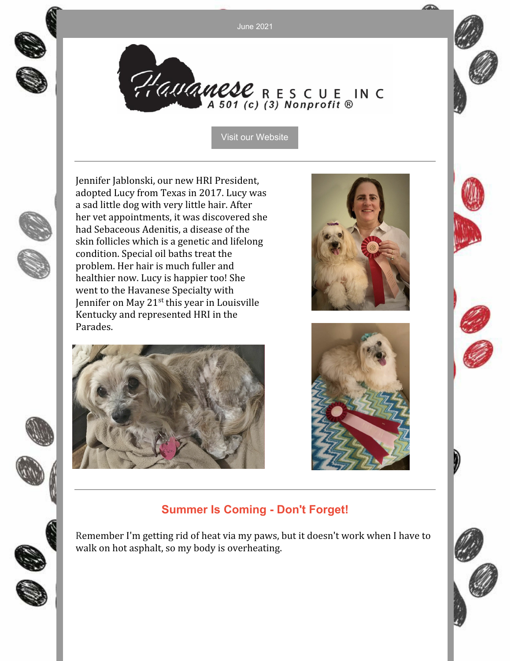June 2021



Hauanese RESCUE IN C

Visit our [Website](http://havaneserescue.com)

Jennifer Jablonski, our new HRI President, adopted Lucy from Texas in 2017. Lucy was a sad little dog with very little hair. After her vet appointments, it was discovered she had Sebaceous Adenitis, a disease of the skin follicles which is a genetic and lifelong condition. Special oil baths treat the problem. Her hair is much fuller and healthier now. Lucy is happier too! She went to the Havanese Specialty with Jennifer on May 21<sup>st</sup> this year in Louisville Kentucky and represented HRI in the Parades.







# **Summer Is Coming - Don't Forget!**

Remember I'm getting rid of heat via my paws, but it doesn't work when I have to walk on hot asphalt, so my body is overheating.

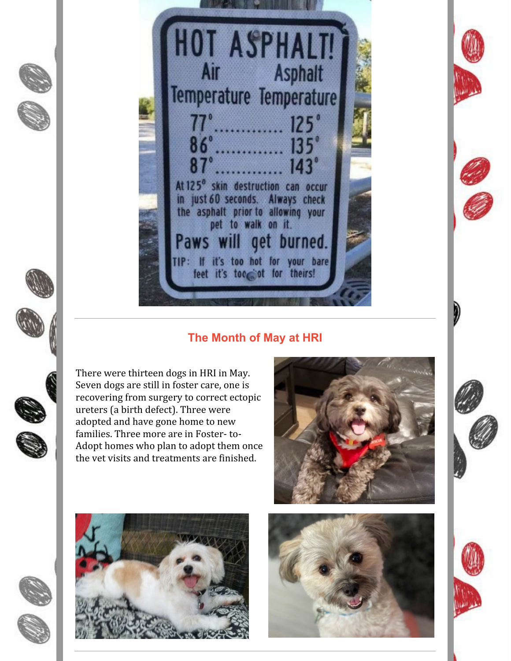**HOT ASPHALT!** Asphalt Air Temperature Temperature  $125^\circ$  $135^\circ$  $143^\circ$ At 125<sup>°</sup> skin destruction can occur in just 60 seconds. Always check the asphalt prior to allowing your pet to walk on it. get burned. Paws w TIP: If it's too hot for your bare feet it's too ot for theirs!

## **The Month of May at HRI**

There were thirteen dogs in HRI in May. Seven dogs are still in foster care, one is recovering from surgery to correct ectopic ureters (a birth defect). Three were adopted and have gone home to new families. Three more are in Foster- to-Adopt homes who plan to adopt them once the vet visits and treatments are finished.











I)

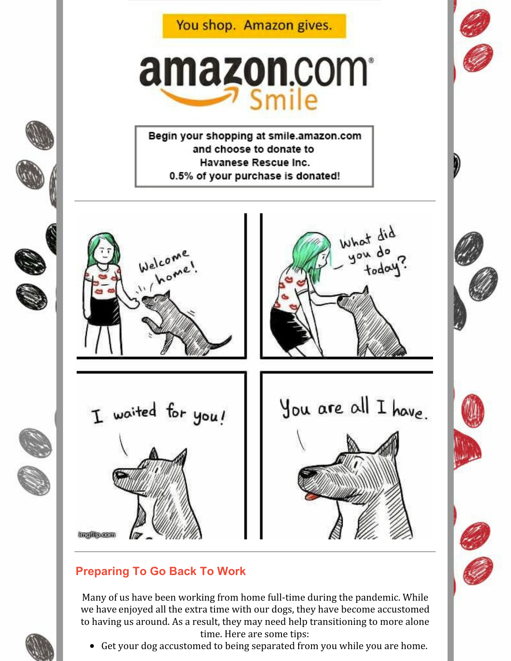You shop. Amazon gives.

# amazon.com<sup>®</sup> Smile

Begin your shopping at smile.amazon.com and choose to donate to Havanese Rescue Inc. 0.5% of your purchase is donated!



#### **Ingilipean**

# **Preparing To Go Back To Work**

Many of us have been working from home full-time during the pandemic. While we have enjoyed all the extra time with our dogs, they have become accustomed to having us around. As a result, they may need help transitioning to more alone time. Here are some tips:

Get your dog accustomed to being separated from you while you are home.